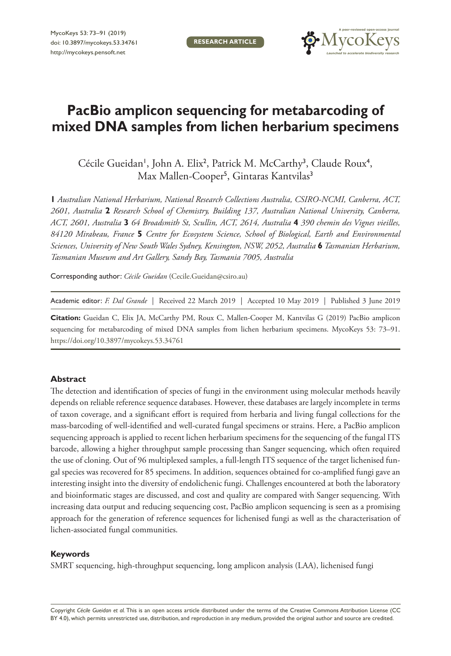**RESEARCH ARTICLE**



# **PacBio amplicon sequencing for metabarcoding of mixed DNA samples from lichen herbarium specimens**

Cécile Gueidan<sup>1</sup>, John A. Elix<sup>2</sup>, Patrick M. McCarthy<sup>3</sup>, Claude Roux<sup>4</sup>, Max Mallen-Cooper<sup>5</sup>, Gintaras Kantvilas<sup>3</sup>

**1** *Australian National Herbarium, National Research Collections Australia, CSIRO-NCMI, Canberra, ACT, 2601, Australia* **2** *Research School of Chemistry, Building 137, Australian National University, Canberra, ACT, 2601, Australia* **3** *64 Broadsmith St, Scullin, ACT, 2614, Australia* **4** *390 chemin des Vignes vieilles, 84120 Mirabeau, France* **5** *Centre for Ecosystem Science, School of Biological, Earth and Environmental Sciences, University of New South Wales Sydney, Kensington, NSW, 2052, Australia* **6** *Tasmanian Herbarium, Tasmanian Museum and Art Gallery, Sandy Bay, Tasmania 7005, Australia*

Corresponding author: *Cécile Gueidan* ([Cecile.Gueidan@csiro.au\)](mailto:Cecile.Gueidan@csiro.au)

Academic editor: *F. Dal Grande* | Received 22 March 2019 | Accepted 10 May 2019 | Published 3 June 2019

**Citation:** Gueidan C, Elix JA, McCarthy PM, Roux C, Mallen-Cooper M, Kantvilas G (2019) PacBio amplicon sequencing for metabarcoding of mixed DNA samples from lichen herbarium specimens. MycoKeys 53: 73-91. <https://doi.org/10.3897/mycokeys.53.34761>

#### **Abstract**

The detection and identification of species of fungi in the environment using molecular methods heavily depends on reliable reference sequence databases. However, these databases are largely incomplete in terms of taxon coverage, and a significant effort is required from herbaria and living fungal collections for the mass-barcoding of well-identified and well-curated fungal specimens or strains. Here, a PacBio amplicon sequencing approach is applied to recent lichen herbarium specimens for the sequencing of the fungal ITS barcode, allowing a higher throughput sample processing than Sanger sequencing, which often required the use of cloning. Out of 96 multiplexed samples, a full-length ITS sequence of the target lichenised fungal species was recovered for 85 specimens. In addition, sequences obtained for co-amplified fungi gave an interesting insight into the diversity of endolichenic fungi. Challenges encountered at both the laboratory and bioinformatic stages are discussed, and cost and quality are compared with Sanger sequencing. With increasing data output and reducing sequencing cost, PacBio amplicon sequencing is seen as a promising approach for the generation of reference sequences for lichenised fungi as well as the characterisation of lichen-associated fungal communities.

#### **Keywords**

SMRT sequencing, high-throughput sequencing, long amplicon analysis (LAA), lichenised fungi

Copyright *Cécile Gueidan et al.* This is an open access article distributed under the terms of the [Creative Commons Attribution License \(CC](http://creativecommons.org/licenses/by/4.0/)  [BY 4.0\)](http://creativecommons.org/licenses/by/4.0/), which permits unrestricted use, distribution, and reproduction in any medium, provided the original author and source are credited.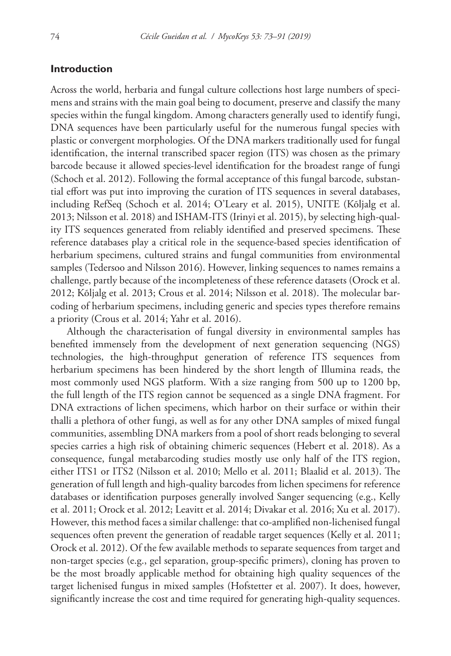## **Introduction**

Across the world, herbaria and fungal culture collections host large numbers of specimens and strains with the main goal being to document, preserve and classify the many species within the fungal kingdom. Among characters generally used to identify fungi, DNA sequences have been particularly useful for the numerous fungal species with plastic or convergent morphologies. Of the DNA markers traditionally used for fungal identification, the internal transcribed spacer region (ITS) was chosen as the primary barcode because it allowed species-level identification for the broadest range of fungi (Schoch et al. 2012). Following the formal acceptance of this fungal barcode, substantial effort was put into improving the curation of ITS sequences in several databases, including RefSeq (Schoch et al. 2014; O'Leary et al. 2015), UNITE (Kõljalg et al. 2013; Nilsson et al. 2018) and ISHAM-ITS (Irinyi et al. 2015), by selecting high-quality ITS sequences generated from reliably identified and preserved specimens. These reference databases play a critical role in the sequence-based species identification of herbarium specimens, cultured strains and fungal communities from environmental samples (Tedersoo and Nilsson 2016). However, linking sequences to names remains a challenge, partly because of the incompleteness of these reference datasets (Orock et al. 2012; Kõljalg et al. 2013; Crous et al. 2014; Nilsson et al. 2018). The molecular barcoding of herbarium specimens, including generic and species types therefore remains a priority (Crous et al. 2014; Yahr et al. 2016).

Although the characterisation of fungal diversity in environmental samples has benefited immensely from the development of next generation sequencing (NGS) technologies, the high-throughput generation of reference ITS sequences from herbarium specimens has been hindered by the short length of Illumina reads, the most commonly used NGS platform. With a size ranging from 500 up to 1200 bp, the full length of the ITS region cannot be sequenced as a single DNA fragment. For DNA extractions of lichen specimens, which harbor on their surface or within their thalli a plethora of other fungi, as well as for any other DNA samples of mixed fungal communities, assembling DNA markers from a pool of short reads belonging to several species carries a high risk of obtaining chimeric sequences (Hebert et al. 2018). As a consequence, fungal metabarcoding studies mostly use only half of the ITS region, either ITS1 or ITS2 (Nilsson et al. 2010; Mello et al. 2011; Blaalid et al. 2013). The generation of full length and high-quality barcodes from lichen specimens for reference databases or identification purposes generally involved Sanger sequencing (e.g., Kelly et al. 2011; Orock et al. 2012; Leavitt et al. 2014; Divakar et al. 2016; Xu et al. 2017). However, this method faces a similar challenge: that co-amplified non-lichenised fungal sequences often prevent the generation of readable target sequences (Kelly et al. 2011; Orock et al. 2012). Of the few available methods to separate sequences from target and non-target species (e.g., gel separation, group-specific primers), cloning has proven to be the most broadly applicable method for obtaining high quality sequences of the target lichenised fungus in mixed samples (Hofstetter et al. 2007). It does, however, significantly increase the cost and time required for generating high-quality sequences.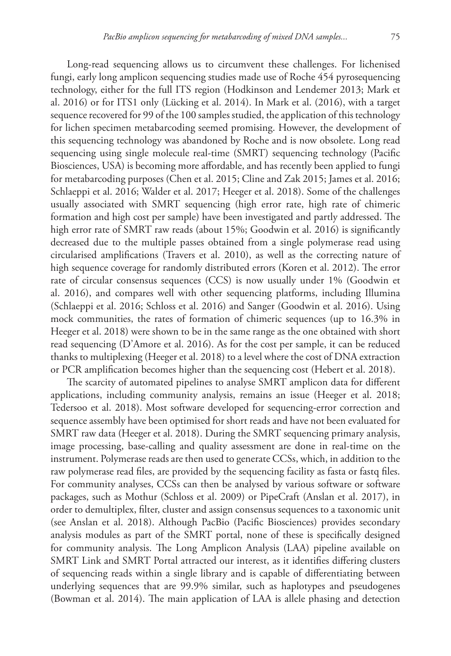Long-read sequencing allows us to circumvent these challenges. For lichenised fungi, early long amplicon sequencing studies made use of Roche 454 pyrosequencing technology, either for the full ITS region (Hodkinson and Lendemer 2013; Mark et al. 2016) or for ITS1 only (Lücking et al. 2014). In Mark et al. (2016), with a target sequence recovered for 99 of the 100 samples studied, the application of this technology for lichen specimen metabarcoding seemed promising. However, the development of this sequencing technology was abandoned by Roche and is now obsolete. Long read sequencing using single molecule real-time (SMRT) sequencing technology (Pacific Biosciences, USA) is becoming more affordable, and has recently been applied to fungi for metabarcoding purposes (Chen et al. 2015; Cline and Zak 2015; James et al. 2016; Schlaeppi et al. 2016; Walder et al. 2017; Heeger et al. 2018). Some of the challenges usually associated with SMRT sequencing (high error rate, high rate of chimeric formation and high cost per sample) have been investigated and partly addressed. The high error rate of SMRT raw reads (about 15%; Goodwin et al. 2016) is significantly decreased due to the multiple passes obtained from a single polymerase read using circularised amplifications (Travers et al. 2010), as well as the correcting nature of high sequence coverage for randomly distributed errors (Koren et al. 2012). The error rate of circular consensus sequences (CCS) is now usually under 1% (Goodwin et al. 2016), and compares well with other sequencing platforms, including Illumina (Schlaeppi et al. 2016; Schloss et al. 2016) and Sanger (Goodwin et al. 2016). Using mock communities, the rates of formation of chimeric sequences (up to 16.3% in Heeger et al. 2018) were shown to be in the same range as the one obtained with short read sequencing (D'Amore et al. 2016). As for the cost per sample, it can be reduced thanks to multiplexing (Heeger et al. 2018) to a level where the cost of DNA extraction or PCR amplification becomes higher than the sequencing cost (Hebert et al. 2018).

The scarcity of automated pipelines to analyse SMRT amplicon data for different applications, including community analysis, remains an issue (Heeger et al. 2018; Tedersoo et al. 2018). Most software developed for sequencing-error correction and sequence assembly have been optimised for short reads and have not been evaluated for SMRT raw data (Heeger et al. 2018). During the SMRT sequencing primary analysis, image processing, base-calling and quality assessment are done in real-time on the instrument. Polymerase reads are then used to generate CCSs, which, in addition to the raw polymerase read files, are provided by the sequencing facility as fasta or fastq files. For community analyses, CCSs can then be analysed by various software or software packages, such as Mothur (Schloss et al. 2009) or PipeCraft (Anslan et al. 2017), in order to demultiplex, filter, cluster and assign consensus sequences to a taxonomic unit (see Anslan et al. 2018). Although PacBio (Pacific Biosciences) provides secondary analysis modules as part of the SMRT portal, none of these is specifically designed for community analysis. The Long Amplicon Analysis (LAA) pipeline available on SMRT Link and SMRT Portal attracted our interest, as it identifies differing clusters of sequencing reads within a single library and is capable of differentiating between underlying sequences that are 99.9% similar, such as haplotypes and pseudogenes (Bowman et al. 2014). The main application of LAA is allele phasing and detection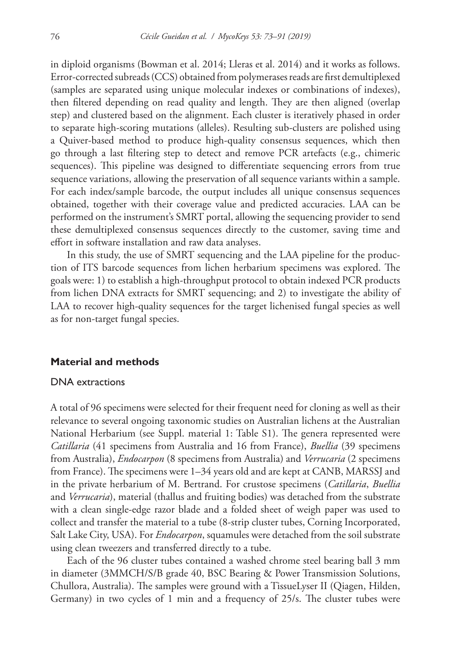in diploid organisms (Bowman et al. 2014; Lleras et al. 2014) and it works as follows. Error-corrected subreads (CCS) obtained from polymerases reads are first demultiplexed (samples are separated using unique molecular indexes or combinations of indexes), then filtered depending on read quality and length. They are then aligned (overlap step) and clustered based on the alignment. Each cluster is iteratively phased in order to separate high-scoring mutations (alleles). Resulting sub-clusters are polished using a Quiver-based method to produce high-quality consensus sequences, which then go through a last filtering step to detect and remove PCR artefacts (e.g., chimeric sequences). This pipeline was designed to differentiate sequencing errors from true sequence variations, allowing the preservation of all sequence variants within a sample. For each index/sample barcode, the output includes all unique consensus sequences obtained, together with their coverage value and predicted accuracies. LAA can be performed on the instrument's SMRT portal, allowing the sequencing provider to send these demultiplexed consensus sequences directly to the customer, saving time and effort in software installation and raw data analyses.

In this study, the use of SMRT sequencing and the LAA pipeline for the production of ITS barcode sequences from lichen herbarium specimens was explored. The goals were: 1) to establish a high-throughput protocol to obtain indexed PCR products from lichen DNA extracts for SMRT sequencing; and 2) to investigate the ability of LAA to recover high-quality sequences for the target lichenised fungal species as well as for non-target fungal species.

# **Material and methods**

#### DNA extractions

A total of 96 specimens were selected for their frequent need for cloning as well as their relevance to several ongoing taxonomic studies on Australian lichens at the Australian National Herbarium (see Suppl. material 1: Table S1). The genera represented were *Catillaria* (41 specimens from Australia and 16 from France), *Buellia* (39 specimens from Australia), *Endocarpon* (8 specimens from Australia) and *Verrucaria* (2 specimens from France). The specimens were 1–34 years old and are kept at CANB, MARSSJ and in the private herbarium of M. Bertrand. For crustose specimens (*Catillaria*, *Buellia* and *Verrucaria*), material (thallus and fruiting bodies) was detached from the substrate with a clean single-edge razor blade and a folded sheet of weigh paper was used to collect and transfer the material to a tube (8-strip cluster tubes, Corning Incorporated, Salt Lake City, USA). For *Endocarpon*, squamules were detached from the soil substrate using clean tweezers and transferred directly to a tube.

Each of the 96 cluster tubes contained a washed chrome steel bearing ball 3 mm in diameter (3MMCH/S/B grade 40, BSC Bearing & Power Transmission Solutions, Chullora, Australia). The samples were ground with a TissueLyser II (Qiagen, Hilden, Germany) in two cycles of 1 min and a frequency of 25/s. The cluster tubes were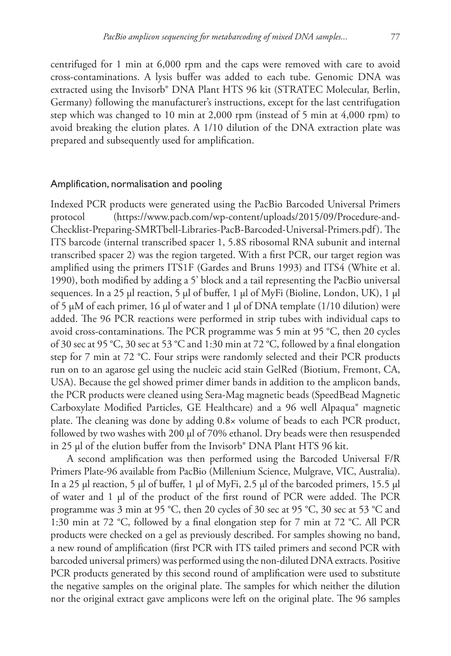centrifuged for 1 min at 6,000 rpm and the caps were removed with care to avoid cross-contaminations. A lysis buffer was added to each tube. Genomic DNA was extracted using the Invisorb® DNA Plant HTS 96 kit (STRATEC Molecular, Berlin, Germany) following the manufacturer's instructions, except for the last centrifugation step which was changed to 10 min at 2,000 rpm (instead of 5 min at  $4,000$  rpm) to avoid breaking the elution plates. A 1/10 dilution of the DNA extraction plate was prepared and subsequently used for amplification.

#### Amplification, normalisation and pooling

Indexed PCR products were generated using the PacBio Barcoded Universal Primers protocol [\(https://www.pacb.com/wp-content/uploads/2015/09/Procedure-and-](https://www.pacb.com/wp-content/uploads/2015/09/Procedure-and-Checklist-Preparing-SMRTbell-Libraries-PacB-Barcoded-Universal-Primers.pdf)[Checklist-Preparing-SMRTbell-Libraries-PacB-Barcoded-Universal-Primers.pdf\)](https://www.pacb.com/wp-content/uploads/2015/09/Procedure-and-Checklist-Preparing-SMRTbell-Libraries-PacB-Barcoded-Universal-Primers.pdf). The ITS barcode (internal transcribed spacer 1, 5.8S ribosomal RNA subunit and internal transcribed spacer 2) was the region targeted. With a first PCR, our target region was amplified using the primers ITS1F (Gardes and Bruns 1993) and ITS4 (White et al. 1990), both modified by adding a 5' block and a tail representing the PacBio universal sequences. In a 25 µl reaction, 5 µl of buffer, 1 µl of MyFi (Bioline, London, UK), 1 µl of 5 µM of each primer, 16 µl of water and 1 µl of DNA template (1/10 dilution) were added. The 96 PCR reactions were performed in strip tubes with individual caps to avoid cross-contaminations. The PCR programme was 5 min at 95 °C, then 20 cycles of 30 sec at 95 °C, 30 sec at 53 °C and 1:30 min at 72 °C, followed by a final elongation step for 7 min at 72 °C. Four strips were randomly selected and their PCR products run on to an agarose gel using the nucleic acid stain GelRed (Biotium, Fremont, CA, USA). Because the gel showed primer dimer bands in addition to the amplicon bands, the PCR products were cleaned using Sera-Mag magnetic beads (SpeedBead Magnetic Carboxylate Modified Particles, GE Healthcare) and a 96 well Alpaqua® magnetic plate. The cleaning was done by adding 0.8× volume of beads to each PCR product, followed by two washes with 200 µl of 70% ethanol. Dry beads were then resuspended in 25 µl of the elution buffer from the Invisorb® DNA Plant HTS 96 kit.

A second amplification was then performed using the Barcoded Universal F/R Primers Plate-96 available from PacBio (Millenium Science, Mulgrave, VIC, Australia). In a 25 µl reaction, 5 µl of buffer, 1 µl of MyFi, 2.5 µl of the barcoded primers, 15.5 µl of water and 1 µl of the product of the first round of PCR were added. The PCR programme was 3 min at 95 °C, then 20 cycles of 30 sec at 95 °C, 30 sec at 53 °C and 1:30 min at 72 °C, followed by a final elongation step for 7 min at 72 °C. All PCR products were checked on a gel as previously described. For samples showing no band, a new round of amplification (first PCR with ITS tailed primers and second PCR with barcoded universal primers) was performed using the non-diluted DNA extracts. Positive PCR products generated by this second round of amplification were used to substitute the negative samples on the original plate. The samples for which neither the dilution nor the original extract gave amplicons were left on the original plate. The 96 samples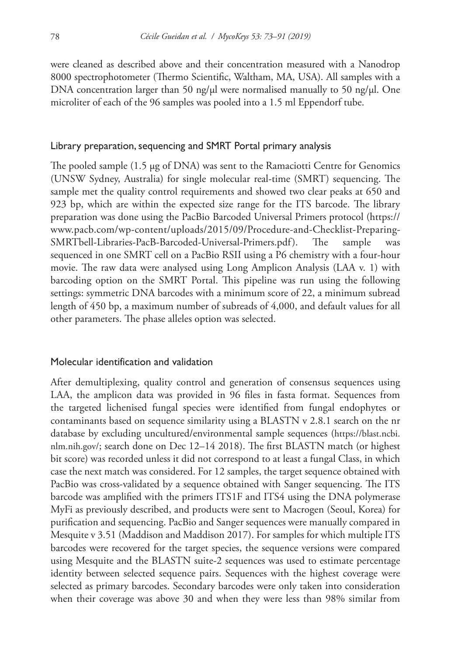were cleaned as described above and their concentration measured with a Nanodrop 8000 spectrophotometer (Thermo Scientific, Waltham, MA, USA). All samples with a DNA concentration larger than 50 ng/ $\mu$ l were normalised manually to 50 ng/ $\mu$ l. One microliter of each of the 96 samples was pooled into a 1.5 ml Eppendorf tube.

#### Library preparation, sequencing and SMRT Portal primary analysis

The pooled sample (1.5 µg of DNA) was sent to the Ramaciotti Centre for Genomics (UNSW Sydney, Australia) for single molecular real-time (SMRT) sequencing. The sample met the quality control requirements and showed two clear peaks at 650 and 923 bp, which are within the expected size range for the ITS barcode. The library preparation was done using the PacBio Barcoded Universal Primers protocol ([https://](https://www.pacb.com/wp-content/uploads/2015/09/Procedure-and-Checklist-Preparing-SMRTbell-Libraries-PacB-Barcoded-Universal-Primers.pdf) [www.pacb.com/wp-content/uploads/2015/09/Procedure-and-Checklist-Preparing-](https://www.pacb.com/wp-content/uploads/2015/09/Procedure-and-Checklist-Preparing-SMRTbell-Libraries-PacB-Barcoded-Universal-Primers.pdf)[SMRTbell-Libraries-PacB-Barcoded-Universal-Primers.pdf\)](https://www.pacb.com/wp-content/uploads/2015/09/Procedure-and-Checklist-Preparing-SMRTbell-Libraries-PacB-Barcoded-Universal-Primers.pdf). The sample was sequenced in one SMRT cell on a PacBio RSII using a P6 chemistry with a four-hour movie. The raw data were analysed using Long Amplicon Analysis (LAA v. 1) with barcoding option on the SMRT Portal. This pipeline was run using the following settings: symmetric DNA barcodes with a minimum score of 22, a minimum subread length of 450 bp, a maximum number of subreads of 4,000, and default values for all other parameters. The phase alleles option was selected.

#### Molecular identification and validation

After demultiplexing, quality control and generation of consensus sequences using LAA, the amplicon data was provided in 96 files in fasta format. Sequences from the targeted lichenised fungal species were identified from fungal endophytes or contaminants based on sequence similarity using a BLASTN v 2.8.1 search on the nr database by excluding uncultured/environmental sample sequences [\(https://blast.ncbi.](https://blast.ncbi.nlm.nih.gov/) [nlm.nih.gov/;](https://blast.ncbi.nlm.nih.gov/) search done on Dec 12–14 2018). The first BLASTN match (or highest bit score) was recorded unless it did not correspond to at least a fungal Class, in which case the next match was considered. For 12 samples, the target sequence obtained with PacBio was cross-validated by a sequence obtained with Sanger sequencing. The ITS barcode was amplified with the primers ITS1F and ITS4 using the DNA polymerase MyFi as previously described, and products were sent to Macrogen (Seoul, Korea) for purification and sequencing. PacBio and Sanger sequences were manually compared in Mesquite v 3.51 (Maddison and Maddison 2017). For samples for which multiple ITS barcodes were recovered for the target species, the sequence versions were compared using Mesquite and the BLASTN suite-2 sequences was used to estimate percentage identity between selected sequence pairs. Sequences with the highest coverage were selected as primary barcodes. Secondary barcodes were only taken into consideration when their coverage was above 30 and when they were less than 98% similar from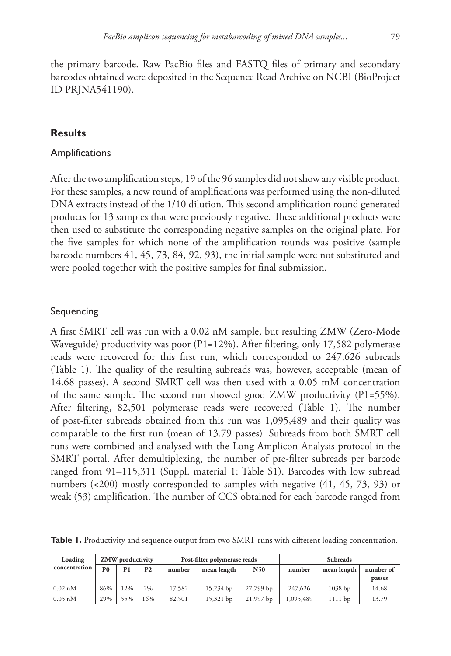**Results**

## Amplifications

ID PRJNA541190).

After the two amplification steps, 19 of the 96 samples did not show any visible product. For these samples, a new round of amplifications was performed using the non-diluted DNA extracts instead of the 1/10 dilution. This second amplification round generated products for 13 samples that were previously negative. These additional products were then used to substitute the corresponding negative samples on the original plate. For the five samples for which none of the amplification rounds was positive (sample barcode numbers 41, 45, 73, 84, 92, 93), the initial sample were not substituted and were pooled together with the positive samples for final submission.

## Sequencing

A first SMRT cell was run with a 0.02 nM sample, but resulting ZMW (Zero-Mode Waveguide) productivity was poor (P1=12%). After filtering, only 17,582 polymerase reads were recovered for this first run, which corresponded to 247,626 subreads (Table 1). The quality of the resulting subreads was, however, acceptable (mean of 14.68 passes). A second SMRT cell was then used with a 0.05 mM concentration of the same sample. The second run showed good ZMW productivity  $(P1=55\%)$ . After filtering, 82,501 polymerase reads were recovered (Table 1). The number of post-filter subreads obtained from this run was 1,095,489 and their quality was comparable to the first run (mean of 13.79 passes). Subreads from both SMRT cell runs were combined and analysed with the Long Amplicon Analysis protocol in the SMRT portal. After demultiplexing, the number of pre-filter subreads per barcode ranged from 91–115,311 (Suppl. material 1: Table S1). Barcodes with low subread numbers (<200) mostly corresponded to samples with negative (41, 45, 73, 93) or weak (53) amplification. The number of CCS obtained for each barcode ranged from

Table 1. Productivity and sequence output from two SMRT runs with different loading concentration.

| Loading       | ZMW productivity |                |           | Post-filter polymerase reads |             |           | <b>Subreads</b> |             |           |
|---------------|------------------|----------------|-----------|------------------------------|-------------|-----------|-----------------|-------------|-----------|
| concentration | P0               | P <sub>1</sub> | <b>P2</b> | number                       | mean length | N50       | number          | mean length | number of |
|               |                  |                |           |                              |             |           |                 |             | passes    |
| $0.02$ nM     | 86%              | 2%             | 2%        | 17,582                       | 15,234 bp   | 27,799 bp | 247,626         | $1038$ bp   | 14.68     |
| $0.05$ nM     | 29%              | 55%            | 16%       | 82,501                       | 15,321 bp   | 21,997 bp | 1,095,489       | 1111 bp     | 13.79     |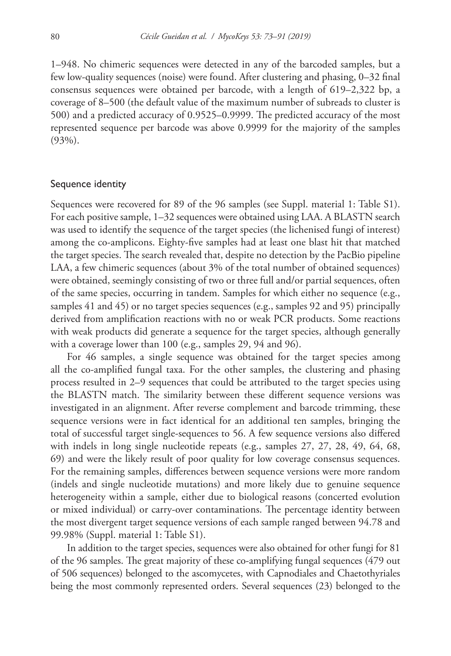1–948. No chimeric sequences were detected in any of the barcoded samples, but a few low-quality sequences (noise) were found. After clustering and phasing, 0–32 final consensus sequences were obtained per barcode, with a length of 619–2,322 bp, a coverage of 8–500 (the default value of the maximum number of subreads to cluster is 500) and a predicted accuracy of 0.9525–0.9999. The predicted accuracy of the most represented sequence per barcode was above 0.9999 for the majority of the samples (93%).

#### Sequence identity

Sequences were recovered for 89 of the 96 samples (see Suppl. material 1: Table S1). For each positive sample, 1–32 sequences were obtained using LAA. A BLASTN search was used to identify the sequence of the target species (the lichenised fungi of interest) among the co-amplicons. Eighty-five samples had at least one blast hit that matched the target species. The search revealed that, despite no detection by the PacBio pipeline LAA, a few chimeric sequences (about 3% of the total number of obtained sequences) were obtained, seemingly consisting of two or three full and/or partial sequences, often of the same species, occurring in tandem. Samples for which either no sequence (e.g., samples 41 and 45) or no target species sequences (e.g., samples 92 and 95) principally derived from amplification reactions with no or weak PCR products. Some reactions with weak products did generate a sequence for the target species, although generally with a coverage lower than 100 (e.g., samples 29, 94 and 96).

For 46 samples, a single sequence was obtained for the target species among all the co-amplified fungal taxa. For the other samples, the clustering and phasing process resulted in 2–9 sequences that could be attributed to the target species using the BLASTN match. The similarity between these different sequence versions was investigated in an alignment. After reverse complement and barcode trimming, these sequence versions were in fact identical for an additional ten samples, bringing the total of successful target single-sequences to 56. A few sequence versions also differed with indels in long single nucleotide repeats (e.g., samples 27, 27, 28, 49, 64, 68, 69) and were the likely result of poor quality for low coverage consensus sequences. For the remaining samples, differences between sequence versions were more random (indels and single nucleotide mutations) and more likely due to genuine sequence heterogeneity within a sample, either due to biological reasons (concerted evolution or mixed individual) or carry-over contaminations. The percentage identity between the most divergent target sequence versions of each sample ranged between 94.78 and 99.98% (Suppl. material 1: Table S1).

In addition to the target species, sequences were also obtained for other fungi for 81 of the 96 samples. The great majority of these co-amplifying fungal sequences (479 out of 506 sequences) belonged to the ascomycetes, with Capnodiales and Chaetothyriales being the most commonly represented orders. Several sequences (23) belonged to the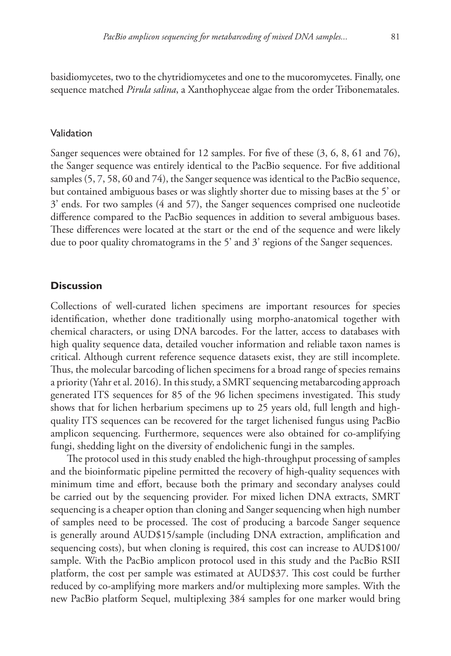basidiomycetes, two to the chytridiomycetes and one to the mucoromycetes. Finally, one sequence matched *Pirula salina*, a Xanthophyceae algae from the order Tribonematales.

#### Validation

Sanger sequences were obtained for 12 samples. For five of these (3, 6, 8, 61 and 76), the Sanger sequence was entirely identical to the PacBio sequence. For five additional samples (5, 7, 58, 60 and 74), the Sanger sequence was identical to the PacBio sequence, but contained ambiguous bases or was slightly shorter due to missing bases at the 5' or 3' ends. For two samples (4 and 57), the Sanger sequences comprised one nucleotide difference compared to the PacBio sequences in addition to several ambiguous bases. These differences were located at the start or the end of the sequence and were likely due to poor quality chromatograms in the 5' and 3' regions of the Sanger sequences.

## **Discussion**

Collections of well-curated lichen specimens are important resources for species identification, whether done traditionally using morpho-anatomical together with chemical characters, or using DNA barcodes. For the latter, access to databases with high quality sequence data, detailed voucher information and reliable taxon names is critical. Although current reference sequence datasets exist, they are still incomplete. Thus, the molecular barcoding of lichen specimens for a broad range of species remains a priority (Yahr et al. 2016). In this study, a SMRT sequencing metabarcoding approach generated ITS sequences for 85 of the 96 lichen specimens investigated. This study shows that for lichen herbarium specimens up to 25 years old, full length and highquality ITS sequences can be recovered for the target lichenised fungus using PacBio amplicon sequencing. Furthermore, sequences were also obtained for co-amplifying fungi, shedding light on the diversity of endolichenic fungi in the samples.

The protocol used in this study enabled the high-throughput processing of samples and the bioinformatic pipeline permitted the recovery of high-quality sequences with minimum time and effort, because both the primary and secondary analyses could be carried out by the sequencing provider. For mixed lichen DNA extracts, SMRT sequencing is a cheaper option than cloning and Sanger sequencing when high number of samples need to be processed. The cost of producing a barcode Sanger sequence is generally around AUD\$15/sample (including DNA extraction, amplification and sequencing costs), but when cloning is required, this cost can increase to AUD\$100/ sample. With the PacBio amplicon protocol used in this study and the PacBio RSII platform, the cost per sample was estimated at AUD\$37. This cost could be further reduced by co-amplifying more markers and/or multiplexing more samples. With the new PacBio platform Sequel, multiplexing 384 samples for one marker would bring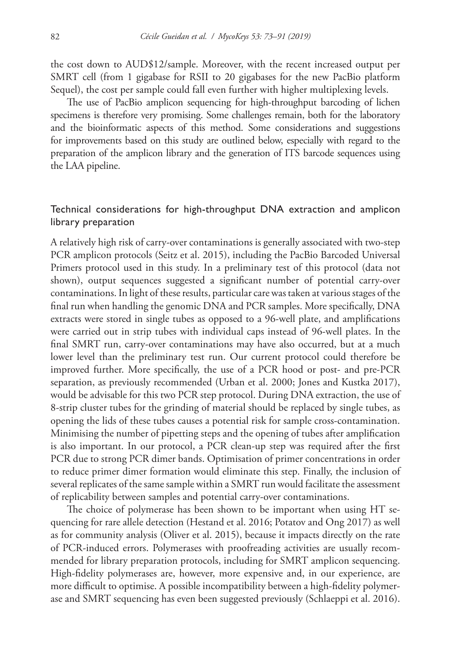the cost down to AUD\$12/sample. Moreover, with the recent increased output per SMRT cell (from 1 gigabase for RSII to 20 gigabases for the new PacBio platform Sequel), the cost per sample could fall even further with higher multiplexing levels.

The use of PacBio amplicon sequencing for high-throughput barcoding of lichen specimens is therefore very promising. Some challenges remain, both for the laboratory and the bioinformatic aspects of this method. Some considerations and suggestions for improvements based on this study are outlined below, especially with regard to the preparation of the amplicon library and the generation of ITS barcode sequences using the LAA pipeline.

# Technical considerations for high-throughput DNA extraction and amplicon library preparation

A relatively high risk of carry-over contaminations is generally associated with two-step PCR amplicon protocols (Seitz et al. 2015), including the PacBio Barcoded Universal Primers protocol used in this study. In a preliminary test of this protocol (data not shown), output sequences suggested a significant number of potential carry-over contaminations. In light of these results, particular care was taken at various stages of the final run when handling the genomic DNA and PCR samples. More specifically, DNA extracts were stored in single tubes as opposed to a 96-well plate, and amplifications were carried out in strip tubes with individual caps instead of 96-well plates. In the final SMRT run, carry-over contaminations may have also occurred, but at a much lower level than the preliminary test run. Our current protocol could therefore be improved further. More specifically, the use of a PCR hood or post- and pre-PCR separation, as previously recommended (Urban et al. 2000; Jones and Kustka 2017), would be advisable for this two PCR step protocol. During DNA extraction, the use of 8-strip cluster tubes for the grinding of material should be replaced by single tubes, as opening the lids of these tubes causes a potential risk for sample cross-contamination. Minimising the number of pipetting steps and the opening of tubes after amplification is also important. In our protocol, a PCR clean-up step was required after the first PCR due to strong PCR dimer bands. Optimisation of primer concentrations in order to reduce primer dimer formation would eliminate this step. Finally, the inclusion of several replicates of the same sample within a SMRT run would facilitate the assessment of replicability between samples and potential carry-over contaminations.

The choice of polymerase has been shown to be important when using HT sequencing for rare allele detection (Hestand et al. 2016; Potatov and Ong 2017) as well as for community analysis (Oliver et al. 2015), because it impacts directly on the rate of PCR-induced errors. Polymerases with proofreading activities are usually recommended for library preparation protocols, including for SMRT amplicon sequencing. High-fidelity polymerases are, however, more expensive and, in our experience, are more difficult to optimise. A possible incompatibility between a high-fidelity polymerase and SMRT sequencing has even been suggested previously (Schlaeppi et al. 2016).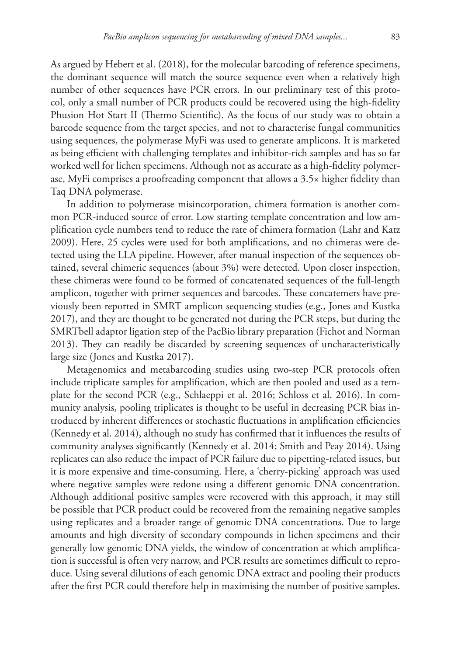As argued by Hebert et al. (2018), for the molecular barcoding of reference specimens, the dominant sequence will match the source sequence even when a relatively high number of other sequences have PCR errors. In our preliminary test of this protocol, only a small number of PCR products could be recovered using the high-fidelity Phusion Hot Start II (Thermo Scientific). As the focus of our study was to obtain a barcode sequence from the target species, and not to characterise fungal communities using sequences, the polymerase MyFi was used to generate amplicons. It is marketed as being efficient with challenging templates and inhibitor-rich samples and has so far worked well for lichen specimens. Although not as accurate as a high-fidelity polymerase, MyFi comprises a proofreading component that allows a 3.5× higher fidelity than Taq DNA polymerase.

In addition to polymerase misincorporation, chimera formation is another common PCR-induced source of error. Low starting template concentration and low amplification cycle numbers tend to reduce the rate of chimera formation (Lahr and Katz 2009). Here, 25 cycles were used for both amplifications, and no chimeras were detected using the LLA pipeline. However, after manual inspection of the sequences obtained, several chimeric sequences (about 3%) were detected. Upon closer inspection, these chimeras were found to be formed of concatenated sequences of the full-length amplicon, together with primer sequences and barcodes. These concatemers have previously been reported in SMRT amplicon sequencing studies (e.g., Jones and Kustka 2017), and they are thought to be generated not during the PCR steps, but during the SMRTbell adaptor ligation step of the PacBio library preparation (Fichot and Norman 2013). They can readily be discarded by screening sequences of uncharacteristically large size (Jones and Kustka 2017).

Metagenomics and metabarcoding studies using two-step PCR protocols often include triplicate samples for amplification, which are then pooled and used as a template for the second PCR (e.g., Schlaeppi et al. 2016; Schloss et al. 2016). In community analysis, pooling triplicates is thought to be useful in decreasing PCR bias introduced by inherent differences or stochastic fluctuations in amplification efficiencies (Kennedy et al. 2014), although no study has confirmed that it influences the results of community analyses significantly (Kennedy et al. 2014; Smith and Peay 2014). Using replicates can also reduce the impact of PCR failure due to pipetting-related issues, but it is more expensive and time-consuming. Here, a 'cherry-picking' approach was used where negative samples were redone using a different genomic DNA concentration. Although additional positive samples were recovered with this approach, it may still be possible that PCR product could be recovered from the remaining negative samples using replicates and a broader range of genomic DNA concentrations. Due to large amounts and high diversity of secondary compounds in lichen specimens and their generally low genomic DNA yields, the window of concentration at which amplification is successful is often very narrow, and PCR results are sometimes difficult to reproduce. Using several dilutions of each genomic DNA extract and pooling their products after the first PCR could therefore help in maximising the number of positive samples.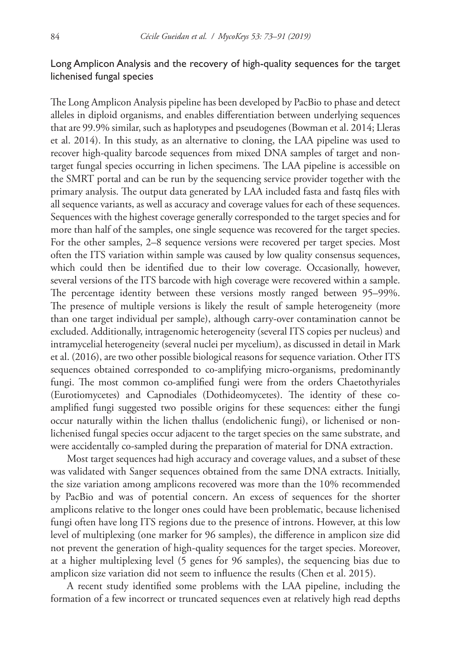# Long Amplicon Analysis and the recovery of high-quality sequences for the target lichenised fungal species

The Long Amplicon Analysis pipeline has been developed by PacBio to phase and detect alleles in diploid organisms, and enables differentiation between underlying sequences that are 99.9% similar, such as haplotypes and pseudogenes (Bowman et al. 2014; Lleras et al. 2014). In this study, as an alternative to cloning, the LAA pipeline was used to recover high-quality barcode sequences from mixed DNA samples of target and nontarget fungal species occurring in lichen specimens. The LAA pipeline is accessible on the SMRT portal and can be run by the sequencing service provider together with the primary analysis. The output data generated by LAA included fasta and fastq files with all sequence variants, as well as accuracy and coverage values for each of these sequences. Sequences with the highest coverage generally corresponded to the target species and for more than half of the samples, one single sequence was recovered for the target species. For the other samples, 2–8 sequence versions were recovered per target species. Most often the ITS variation within sample was caused by low quality consensus sequences, which could then be identified due to their low coverage. Occasionally, however, several versions of the ITS barcode with high coverage were recovered within a sample. The percentage identity between these versions mostly ranged between 95–99%. The presence of multiple versions is likely the result of sample heterogeneity (more than one target individual per sample), although carry-over contamination cannot be excluded. Additionally, intragenomic heterogeneity (several ITS copies per nucleus) and intramycelial heterogeneity (several nuclei per mycelium), as discussed in detail in Mark et al. (2016), are two other possible biological reasons for sequence variation. Other ITS sequences obtained corresponded to co-amplifying micro-organisms, predominantly fungi. The most common co-amplified fungi were from the orders Chaetothyriales (Eurotiomycetes) and Capnodiales (Dothideomycetes). The identity of these coamplified fungi suggested two possible origins for these sequences: either the fungi occur naturally within the lichen thallus (endolichenic fungi), or lichenised or nonlichenised fungal species occur adjacent to the target species on the same substrate, and were accidentally co-sampled during the preparation of material for DNA extraction.

Most target sequences had high accuracy and coverage values, and a subset of these was validated with Sanger sequences obtained from the same DNA extracts. Initially, the size variation among amplicons recovered was more than the 10% recommended by PacBio and was of potential concern. An excess of sequences for the shorter amplicons relative to the longer ones could have been problematic, because lichenised fungi often have long ITS regions due to the presence of introns. However, at this low level of multiplexing (one marker for 96 samples), the difference in amplicon size did not prevent the generation of high-quality sequences for the target species. Moreover, at a higher multiplexing level (5 genes for 96 samples), the sequencing bias due to amplicon size variation did not seem to influence the results (Chen et al. 2015).

A recent study identified some problems with the LAA pipeline, including the formation of a few incorrect or truncated sequences even at relatively high read depths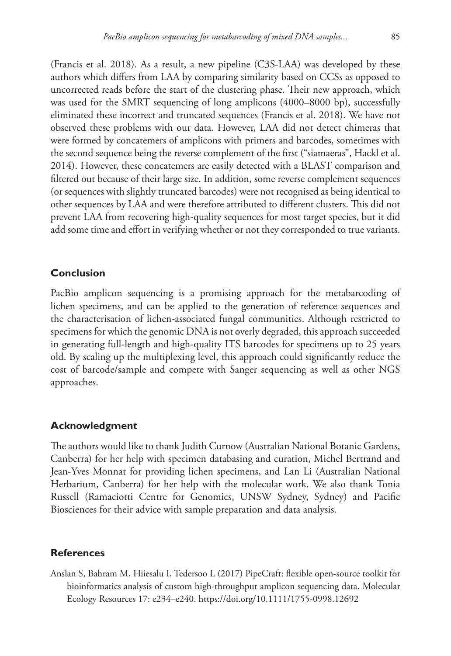(Francis et al. 2018). As a result, a new pipeline (C3S-LAA) was developed by these authors which differs from LAA by comparing similarity based on CCSs as opposed to uncorrected reads before the start of the clustering phase. Their new approach, which was used for the SMRT sequencing of long amplicons (4000–8000 bp), successfully eliminated these incorrect and truncated sequences (Francis et al. 2018). We have not observed these problems with our data. However, LAA did not detect chimeras that were formed by concatemers of amplicons with primers and barcodes, sometimes with the second sequence being the reverse complement of the first ("siamaeras", Hackl et al. 2014). However, these concatemers are easily detected with a BLAST comparison and filtered out because of their large size. In addition, some reverse complement sequences (or sequences with slightly truncated barcodes) were not recognised as being identical to other sequences by LAA and were therefore attributed to different clusters. This did not prevent LAA from recovering high-quality sequences for most target species, but it did add some time and effort in verifying whether or not they corresponded to true variants.

## **Conclusion**

PacBio amplicon sequencing is a promising approach for the metabarcoding of lichen specimens, and can be applied to the generation of reference sequences and the characterisation of lichen-associated fungal communities. Although restricted to specimens for which the genomic DNA is not overly degraded, this approach succeeded in generating full-length and high-quality ITS barcodes for specimens up to 25 years old. By scaling up the multiplexing level, this approach could significantly reduce the cost of barcode/sample and compete with Sanger sequencing as well as other NGS approaches.

## **Acknowledgment**

The authors would like to thank Judith Curnow (Australian National Botanic Gardens, Canberra) for her help with specimen databasing and curation, Michel Bertrand and Jean-Yves Monnat for providing lichen specimens, and Lan Li (Australian National Herbarium, Canberra) for her help with the molecular work. We also thank Tonia Russell (Ramaciotti Centre for Genomics, UNSW Sydney, Sydney) and Pacific Biosciences for their advice with sample preparation and data analysis.

#### **References**

Anslan S, Bahram M, Hiiesalu I, Tedersoo L (2017) PipeCraft: flexible open-source toolkit for bioinformatics analysis of custom high-throughput amplicon sequencing data. Molecular Ecology Resources 17: e234–e240.<https://doi.org/10.1111/1755-0998.12692>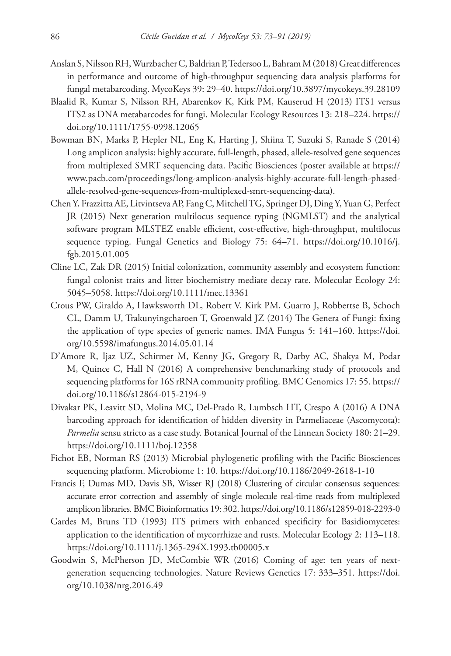- Anslan S, Nilsson RH, Wurzbacher C, Baldrian P, Tedersoo L, Bahram M (2018) Great differences in performance and outcome of high-throughput sequencing data analysis platforms for fungal metabarcoding. MycoKeys 39: 29–40.<https://doi.org/10.3897/mycokeys.39.28109>
- Blaalid R, Kumar S, Nilsson RH, Abarenkov K, Kirk PM, Kauserud H (2013) ITS1 versus ITS2 as DNA metabarcodes for fungi. Molecular Ecology Resources 13: 218–224. [https://](https://doi.org/10.1111/1755-0998.12065) [doi.org/10.1111/1755-0998.12065](https://doi.org/10.1111/1755-0998.12065)
- Bowman BN, Marks P, Hepler NL, Eng K, Harting J, Shiina T, Suzuki S, Ranade S (2014) Long amplicon analysis: highly accurate, full-length, phased, allele-resolved gene sequences from multiplexed SMRT sequencing data. Pacific Biosciences (poster available at [https://](https://www.pacb.com/proceedings/long-amplicon-analysis-highly-accurate-full-length-phased-allele-resolved-gene-sequences-from-multiplexed-smrt-sequencing-data) [www.pacb.com/proceedings/long-amplicon-analysis-highly-accurate-full-length-phased](https://www.pacb.com/proceedings/long-amplicon-analysis-highly-accurate-full-length-phased-allele-resolved-gene-sequences-from-multiplexed-smrt-sequencing-data)[allele-resolved-gene-sequences-from-multiplexed-smrt-sequencing-data](https://www.pacb.com/proceedings/long-amplicon-analysis-highly-accurate-full-length-phased-allele-resolved-gene-sequences-from-multiplexed-smrt-sequencing-data)).
- Chen Y, Frazzitta AE, Litvintseva AP, Fang C, Mitchell TG, Springer DJ, Ding Y, Yuan G, Perfect JR (2015) Next generation multilocus sequence typing (NGMLST) and the analytical software program MLSTEZ enable efficient, cost-effective, high-throughput, multilocus sequence typing. Fungal Genetics and Biology 75: 64–71. [https://doi.org/10.1016/j.](https://doi.org/10.1016/j.fgb.2015.01.005) [fgb.2015.01.005](https://doi.org/10.1016/j.fgb.2015.01.005)
- Cline LC, Zak DR (2015) Initial colonization, community assembly and ecosystem function: fungal colonist traits and litter biochemistry mediate decay rate. Molecular Ecology 24: 5045–5058.<https://doi.org/10.1111/mec.13361>
- Crous PW, Giraldo A, Hawksworth DL, Robert V, Kirk PM, Guarro J, Robbertse B, Schoch CL, Damm U, Trakunyingcharoen T, Groenwald JZ (2014) The Genera of Fungi: fixing the application of type species of generic names. IMA Fungus 5: 141–160. [https://doi.](https://doi.org/10.5598/imafungus.2014.05.01.14) [org/10.5598/imafungus.2014.05.01.14](https://doi.org/10.5598/imafungus.2014.05.01.14)
- D'Amore R, Ijaz UZ, Schirmer M, Kenny JG, Gregory R, Darby AC, Shakya M, Podar M, Quince C, Hall N (2016) A comprehensive benchmarking study of protocols and sequencing platforms for 16S rRNA community profiling. BMC Genomics 17: 55. [https://](https://doi.org/10.1186/s12864-015-2194-9) [doi.org/10.1186/s12864-015-2194-9](https://doi.org/10.1186/s12864-015-2194-9)
- Divakar PK, Leavitt SD, Molina MC, Del-Prado R, Lumbsch HT, Crespo A (2016) A DNA barcoding approach for identification of hidden diversity in Parmeliaceae (Ascomycota): *Parmelia* sensu stricto as a case study. Botanical Journal of the Linnean Society 180: 21–29. <https://doi.org/10.1111/boj.12358>
- Fichot EB, Norman RS (2013) Microbial phylogenetic profiling with the Pacific Biosciences sequencing platform. Microbiome 1: 10. <https://doi.org/10.1186/2049-2618-1-10>
- Francis F, Dumas MD, Davis SB, Wisser RJ (2018) Clustering of circular consensus sequences: accurate error correction and assembly of single molecule real-time reads from multiplexed amplicon libraries. BMC Bioinformatics 19: 302.<https://doi.org/10.1186/s12859-018-2293-0>
- Gardes M, Bruns TD (1993) ITS primers with enhanced specificity for Basidiomycetes: application to the identification of mycorrhizae and rusts. Molecular Ecology 2: 113–118. <https://doi.org/10.1111/j.1365-294X.1993.tb00005.x>
- Goodwin S, McPherson JD, McCombie WR (2016) Coming of age: ten years of nextgeneration sequencing technologies. Nature Reviews Genetics 17: 333–351. [https://doi.](https://doi.org/10.1038/nrg.2016.49) [org/10.1038/nrg.2016.49](https://doi.org/10.1038/nrg.2016.49)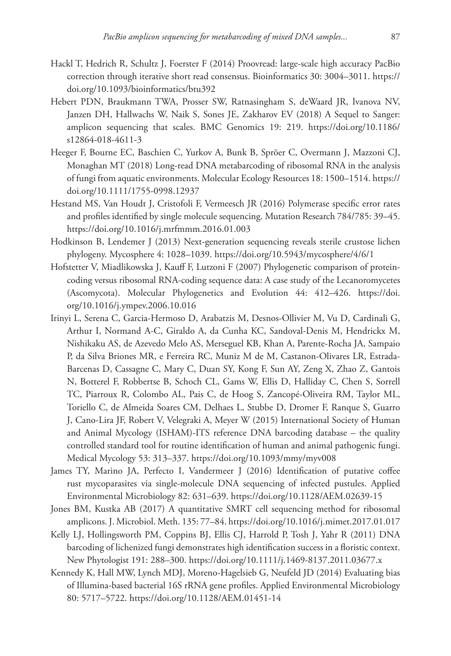- Hackl T, Hedrich R, Schultz J, Foerster F (2014) Proovread: large-scale high accuracy PacBio correction through iterative short read consensus. Bioinformatics 30: 3004–3011. [https://](https://doi.org/10.1093/bioinformatics/btu392) [doi.org/10.1093/bioinformatics/btu392](https://doi.org/10.1093/bioinformatics/btu392)
- Hebert PDN, Braukmann TWA, Prosser SW, Ratnasingham S, deWaard JR, Ivanova NV, Janzen DH, Hallwachs W, Naik S, Sones JE, Zakharov EV (2018) A Sequel to Sanger: amplicon sequencing that scales. BMC Genomics 19: 219. [https://doi.org/10.1186/](https://doi.org/10.1186/s12864-018-4611-3) [s12864-018-4611-3](https://doi.org/10.1186/s12864-018-4611-3)
- Heeger F, Bourne EC, Baschien C, Yurkov A, Bunk B, Spröer C, Overmann J, Mazzoni CJ, Monaghan MT (2018) Long-read DNA metabarcoding of ribosomal RNA in the analysis of fungi from aquatic environments. Molecular Ecology Resources 18: 1500–1514. [https://](https://doi.org/10.1111/1755-0998.12937) [doi.org/10.1111/1755-0998.12937](https://doi.org/10.1111/1755-0998.12937)
- Hestand MS, Van Houdt J, Cristofoli F, Vermeesch JR (2016) Polymerase specific error rates and profiles identified by single molecule sequencing. Mutation Research 784/785: 39–45. <https://doi.org/10.1016/j.mrfmmm.2016.01.003>
- Hodkinson B, Lendemer J (2013) Next-generation sequencing reveals sterile crustose lichen phylogeny. Mycosphere 4: 1028–1039. <https://doi.org/10.5943/mycosphere/4/6/1>
- Hofstetter V, Miadlikowska J, Kauff F, Lutzoni F (2007) Phylogenetic comparison of proteincoding versus ribosomal RNA-coding sequence data: A case study of the Lecanoromycetes (Ascomycota). Molecular Phylogenetics and Evolution 44: 412–426. [https://doi.](https://doi.org/10.1016/j.ympev.2006.10.016) [org/10.1016/j.ympev.2006.10.016](https://doi.org/10.1016/j.ympev.2006.10.016)
- Irinyi L, Serena C, Garcia-Hermoso D, Arabatzis M, Desnos-Ollivier M, Vu D, Cardinali G, Arthur I, Normand A-C, Giraldo A, da Cunha KC, Sandoval-Denis M, Hendrickx M, Nishikaku AS, de Azevedo Melo AS, Merseguel KB, Khan A, Parente-Rocha JA, Sampaio P, da Silva Briones MR, e Ferreira RC, Muniz M de M, Castanon-Olivares LR, Estrada-Barcenas D, Cassagne C, Mary C, Duan SY, Kong F, Sun AY, Zeng X, Zhao Z, Gantois N, Botterel F, Robbertse B, Schoch CL, Gams W, Ellis D, Halliday C, Chen S, Sorrell TC, Piarroux R, Colombo AL, Pais C, de Hoog S, Zancopé-Oliveira RM, Taylor ML, Toriello C, de Almeida Soares CM, Delhaes L, Stubbe D, Dromer F, Ranque S, Guarro J, Cano-Lira JF, Robert V, Velegraki A, Meyer W (2015) International Society of Human and Animal Mycology (ISHAM)-ITS reference DNA barcoding database – the quality controlled standard tool for routine identification of human and animal pathogenic fungi. Medical Mycology 53: 313–337. <https://doi.org/10.1093/mmy/myv008>
- James TY, Marino JA, Perfecto I, Vandermeer J (2016) Identification of putative coffee rust mycoparasites via single-molecule DNA sequencing of infected pustules. Applied Environmental Microbiology 82: 631–639. <https://doi.org/10.1128/AEM.02639-15>
- Jones BM, Kustka AB (2017) A quantitative SMRT cell sequencing method for ribosomal amplicons. J. Microbiol. Meth. 135: 77–84.<https://doi.org/10.1016/j.mimet.2017.01.017>
- Kelly LJ, Hollingsworth PM, Coppins BJ, Ellis CJ, Harrold P, Tosh J, Yahr R (2011) DNA barcoding of lichenized fungi demonstrates high identification success in a floristic context. New Phytologist 191: 288–300.<https://doi.org/10.1111/j.1469-8137.2011.03677.x>
- Kennedy K, Hall MW, Lynch MDJ, Moreno-Hagelsieb G, Neufeld JD (2014) Evaluating bias of Illumina-based bacterial 16S rRNA gene profiles. Applied Environmental Microbiology 80: 5717–5722.<https://doi.org/10.1128/AEM.01451-14>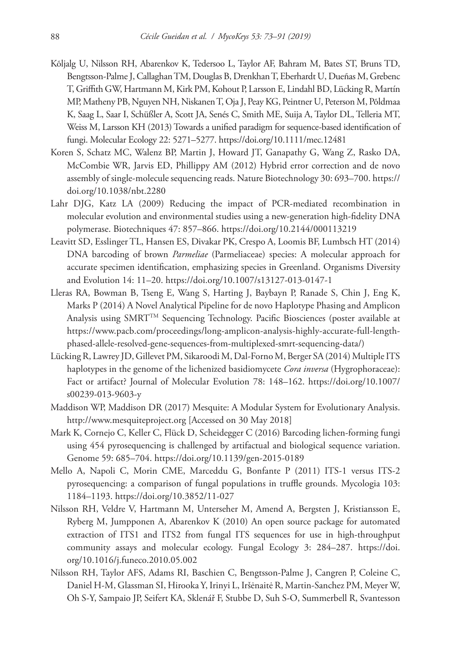- Kõljalg U, Nilsson RH, Abarenkov K, Tedersoo L, Taylor AF, Bahram M, Bates ST, Bruns TD, Bengtsson-Palme J, Callaghan TM, Douglas B, Drenkhan T, Eberhardt U, Dueñas M, Grebenc T, Griffith GW, Hartmann M, Kirk PM, Kohout P, Larsson E, Lindahl BD, Lücking R, Martín MP, Matheny PB, Nguyen NH, Niskanen T, Oja J, Peay KG, Peintner U, Peterson M, Põldmaa K, Saag L, Saar I, Schüßler A, Scott JA, Senés C, Smith ME, Suija A, Taylor DL, Telleria MT, Weiss M, Larsson KH (2013) Towards a unified paradigm for sequence-based identification of fungi. Molecular Ecology 22: 5271–5277.<https://doi.org/10.1111/mec.12481>
- Koren S, Schatz MC, Walenz BP, Martin J, Howard JT, Ganapathy G, Wang Z, Rasko DA, McCombie WR, Jarvis ED, Phillippy AM (2012) Hybrid error correction and de novo assembly of single-molecule sequencing reads. Nature Biotechnology 30: 693–700. [https://](https://doi.org/10.1038/nbt.2280) [doi.org/10.1038/nbt.2280](https://doi.org/10.1038/nbt.2280)
- Lahr DJG, Katz LA (2009) Reducing the impact of PCR-mediated recombination in molecular evolution and environmental studies using a new-generation high-fidelity DNA polymerase. Biotechniques 47: 857–866. <https://doi.org/10.2144/000113219>
- Leavitt SD, Esslinger TL, Hansen ES, Divakar PK, Crespo A, Loomis BF, Lumbsch HT (2014) DNA barcoding of brown *Parmeliae* (Parmeliaceae) species: A molecular approach for accurate specimen identification, emphasizing species in Greenland. Organisms Diversity and Evolution 14: 11–20. <https://doi.org/10.1007/s13127-013-0147-1>
- Lleras RA, Bowman B, Tseng E, Wang S, Harting J, Baybayn P, Ranade S, Chin J, Eng K, Marks P (2014) A Novel Analytical Pipeline for de novo Haplotype Phasing and Amplicon Analysis using SMRTTM Sequencing Technology. Pacific Biosciences (poster available at [https://www.pacb.com/proceedings/long-amplicon-analysis-highly-accurate-full-length](https://www.pacb.com/proceedings/long-amplicon-analysis-highly-accurate-full-length-phased-allele-resolved-gene-sequences-from-multiplexed-smrt-sequencing-data/)[phased-allele-resolved-gene-sequences-from-multiplexed-smrt-sequencing-data/](https://www.pacb.com/proceedings/long-amplicon-analysis-highly-accurate-full-length-phased-allele-resolved-gene-sequences-from-multiplexed-smrt-sequencing-data/))
- Lücking R, Lawrey JD, Gillevet PM, Sikaroodi M, Dal-Forno M, Berger SA (2014) Multiple ITS haplotypes in the genome of the lichenized basidiomycete *Cora inversa* (Hygrophoraceae): Fact or artifact? Journal of Molecular Evolution 78: 148–162. [https://doi.org/10.1007/](https://doi.org/10.1007/s00239-013-9603-y) [s00239-013-9603-y](https://doi.org/10.1007/s00239-013-9603-y)
- Maddison WP, Maddison DR (2017) Mesquite: A Modular System for Evolutionary Analysis. <http://www.mesquiteproject.org> [Accessed on 30 May 2018]
- Mark K, Cornejo C, Keller C, Flück D, Scheidegger C (2016) Barcoding lichen-forming fungi using 454 pyrosequencing is challenged by artifactual and biological sequence variation. Genome 59: 685–704.<https://doi.org/10.1139/gen-2015-0189>
- Mello A, Napoli C, Morin CME, Marceddu G, Bonfante P (2011) ITS-1 versus ITS-2 pyrosequencing: a comparison of fungal populations in truffle grounds. Mycologia 103: 1184–1193.<https://doi.org/10.3852/11-027>
- Nilsson RH, Veldre V, Hartmann M, Unterseher M, Amend A, Bergsten J, Kristiansson E, Ryberg M, Jumpponen A, Abarenkov K (2010) An open source package for automated extraction of ITS1 and ITS2 from fungal ITS sequences for use in high-throughput community assays and molecular ecology. Fungal Ecology 3: 284–287. [https://doi.](https://doi.org/10.1016/j.funeco.2010.05.002) [org/10.1016/j.funeco.2010.05.002](https://doi.org/10.1016/j.funeco.2010.05.002)
- Nilsson RH, Taylor AFS, Adams RI, Baschien C, Bengtsson‐Palme J, Cangren P, Coleine C, Daniel H-M, Glassman SI, Hirooka Y, Irinyi L, Iršėnaitė R, Martin-Sanchez PM, Meyer W, Oh S-Y, Sampaio JP, Seifert KA, Sklenář F, Stubbe D, Suh S-O, Summerbell R, Svantesson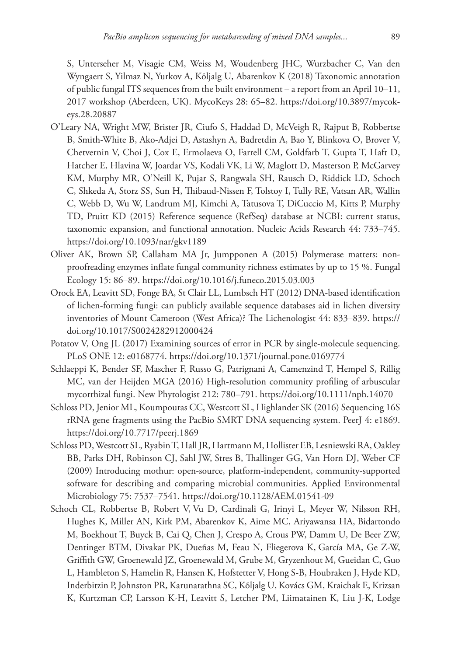S, Unterseher M, Visagie CM, Weiss M, Woudenberg JHC, Wurzbacher C, Van den Wyngaert S, Yilmaz N, Yurkov A, Kõljalg U, Abarenkov K (2018) Taxonomic annotation of public fungal ITS sequences from the built environment – a report from an April 10–11, 2017 workshop (Aberdeen, UK). MycoKeys 28: 65–82. [https://doi.org/10.3897/mycok](https://doi.org/10.3897/mycokeys.28.20887)[eys.28.20887](https://doi.org/10.3897/mycokeys.28.20887)

- O'Leary NA, Wright MW, Brister JR, Ciufo S, Haddad D, McVeigh R, Rajput B, Robbertse B, Smith-White B, Ako-Adjei D, Astashyn A, Badretdin A, Bao Y, Blinkova O, Brover V, Chetvernin V, Choi J, Cox E, Ermolaeva O, Farrell CM, Goldfarb T, Gupta T, Haft D, Hatcher E, Hlavina W, Joardar VS, Kodali VK, Li W, Maglott D, Masterson P, McGarvey KM, Murphy MR, O'Neill K, Pujar S, Rangwala SH, Rausch D, Riddick LD, Schoch C, Shkeda A, Storz SS, Sun H, Thibaud-Nissen F, Tolstoy I, Tully RE, Vatsan AR, Wallin C, Webb D, Wu W, Landrum MJ, Kimchi A, Tatusova T, DiCuccio M, Kitts P, Murphy TD, Pruitt KD (2015) Reference sequence (RefSeq) database at NCBI: current status, taxonomic expansion, and functional annotation. Nucleic Acids Research 44: 733–745. <https://doi.org/10.1093/nar/gkv1189>
- Oliver AK, Brown SP, Callaham MA Jr, Jumpponen A (2015) Polymerase matters: nonproofreading enzymes inflate fungal community richness estimates by up to 15 %. Fungal Ecology 15: 86–89. <https://doi.org/10.1016/j.funeco.2015.03.003>
- Orock EA, Leavitt SD, Fonge BA, St Clair LL, Lumbsch HT (2012) DNA-based identification of lichen-forming fungi: can publicly available sequence databases aid in lichen diversity inventories of Mount Cameroon (West Africa)? The Lichenologist 44: 833–839. [https://](https://doi.org/10.1017/S0024282912000424) [doi.org/10.1017/S0024282912000424](https://doi.org/10.1017/S0024282912000424)
- Potatov V, Ong JL (2017) Examining sources of error in PCR by single-molecule sequencing. PLoS ONE 12: e0168774. <https://doi.org/10.1371/journal.pone.0169774>
- Schlaeppi K, Bender SF, Mascher F, Russo G, Patrignani A, Camenzind T, Hempel S, Rillig MC, van der Heijden MGA (2016) High-resolution community profiling of arbuscular mycorrhizal fungi. New Phytologist 212: 780–791. <https://doi.org/10.1111/nph.14070>
- Schloss PD, Jenior ML, Koumpouras CC, Westcott SL, Highlander SK (2016) Sequencing 16S rRNA gene fragments using the PacBio SMRT DNA sequencing system. PeerJ 4: e1869. <https://doi.org/10.7717/peerj.1869>
- Schloss PD, Westcott SL, Ryabin T, Hall JR, Hartmann M, Hollister EB, Lesniewski RA, Oakley BB, Parks DH, Robinson CJ, Sahl JW, Stres B, Thallinger GG, Van Horn DJ, Weber CF (2009) Introducing mothur: open-source, platform-independent, community-supported software for describing and comparing microbial communities. Applied Environmental Microbiology 75: 7537–7541.<https://doi.org/10.1128/AEM.01541-09>
- Schoch CL, Robbertse B, Robert V, Vu D, Cardinali G, Irinyi L, Meyer W, Nilsson RH, Hughes K, Miller AN, Kirk PM, Abarenkov K, Aime MC, Ariyawansa HA, Bidartondo M, Boekhout T, Buyck B, Cai Q, Chen J, Crespo A, Crous PW, Damm U, De Beer ZW, Dentinger BTM, Divakar PK, Dueñas M, Feau N, Fliegerova K, García MA, Ge Z-W, Griffith GW, Groenewald JZ, Groenewald M, Grube M, Gryzenhout M, Gueidan C, Guo L, Hambleton S, Hamelin R, Hansen K, Hofstetter V, Hong S-B, Houbraken J, Hyde KD, Inderbitzin P, Johnston PR, Karunarathna SC, Kõljalg U, Kovács GM, Kraichak E, Krizsan K, Kurtzman CP, Larsson K-H, Leavitt S, Letcher PM, Liimatainen K, Liu J-K, Lodge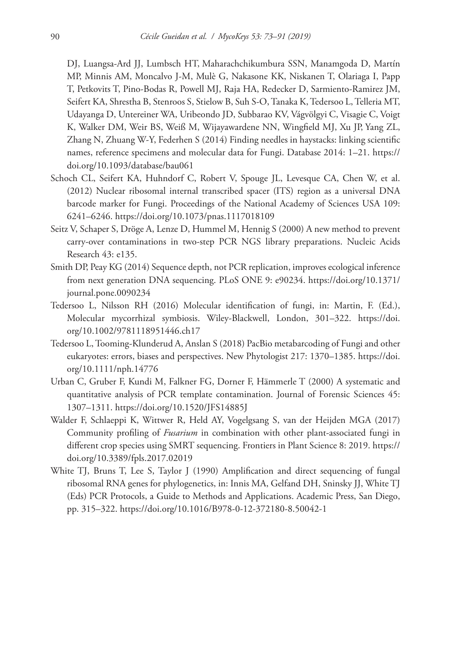DJ, Luangsa-Ard JJ, Lumbsch HT, Maharachchikumbura SSN, Manamgoda D, Martín MP, Minnis AM, Moncalvo J-M, Mulè G, Nakasone KK, Niskanen T, Olariaga I, Papp T, Petkovits T, Pino-Bodas R, Powell MJ, Raja HA, Redecker D, Sarmiento-Ramirez JM, Seifert KA, Shrestha B, Stenroos S, Stielow B, Suh S-O, Tanaka K, Tedersoo L, Telleria MT, Udayanga D, Untereiner WA, Uribeondo JD, Subbarao KV, Vágvölgyi C, Visagie C, Voigt K, Walker DM, Weir BS, Weiß M, Wijayawardene NN, Wingfield MJ, Xu JP, Yang ZL, Zhang N, Zhuang W-Y, Federhen S (2014) Finding needles in haystacks: linking scientific names, reference specimens and molecular data for Fungi. Database 2014: 1–21. [https://](https://doi.org/10.1093/database/bau061) [doi.org/10.1093/database/bau061](https://doi.org/10.1093/database/bau061)

- Schoch CL, Seifert KA, Huhndorf C, Robert V, Spouge JL, Levesque CA, Chen W, et al. (2012) Nuclear ribosomal internal transcribed spacer (ITS) region as a universal DNA barcode marker for Fungi. Proceedings of the National Academy of Sciences USA 109: 6241–6246.<https://doi.org/10.1073/pnas.1117018109>
- Seitz V, Schaper S, Dröge A, Lenze D, Hummel M, Hennig S (2000) A new method to prevent carry-over contaminations in two-step PCR NGS library preparations. Nucleic Acids Research 43: e135.
- Smith DP, Peay KG (2014) Sequence depth, not PCR replication, improves ecological inference from next generation DNA sequencing. PLoS ONE 9: e90234. [https://doi.org/10.1371/](https://doi.org/10.1371/journal.pone.0090234) [journal.pone.0090234](https://doi.org/10.1371/journal.pone.0090234)
- Tedersoo L, Nilsson RH (2016) Molecular identification of fungi, in: Martin, F. (Ed.), Molecular mycorrhizal symbiosis. Wiley-Blackwell, London, 301–322. [https://doi.](https://doi.org/10.1002/9781118951446.ch17) [org/10.1002/9781118951446.ch17](https://doi.org/10.1002/9781118951446.ch17)
- Tedersoo L, Tooming-Klunderud A, Anslan S (2018) PacBio metabarcoding of Fungi and other eukaryotes: errors, biases and perspectives. New Phytologist 217: 1370–1385. [https://doi.](https://doi.org/10.1111/nph.14776) [org/10.1111/nph.14776](https://doi.org/10.1111/nph.14776)
- Urban C, Gruber F, Kundi M, Falkner FG, Dorner F, Hämmerle T (2000) A systematic and quantitative analysis of PCR template contamination. Journal of Forensic Sciences 45: 1307–1311.<https://doi.org/10.1520/JFS14885J>
- Walder F, Schlaeppi K, Wittwer R, Held AY, Vogelgsang S, van der Heijden MGA (2017) Community profiling of *Fusarium* in combination with other plant-associated fungi in different crop species using SMRT sequencing. Frontiers in Plant Science 8: 2019. [https://](https://doi.org/10.3389/fpls.2017.02019) [doi.org/10.3389/fpls.2017.02019](https://doi.org/10.3389/fpls.2017.02019)
- White TJ, Bruns T, Lee S, Taylor J (1990) Amplification and direct sequencing of fungal ribosomal RNA genes for phylogenetics, in: Innis MA, Gelfand DH, Sninsky JJ, White TJ (Eds) PCR Protocols, a Guide to Methods and Applications. Academic Press, San Diego, pp. 315–322.<https://doi.org/10.1016/B978-0-12-372180-8.50042-1>